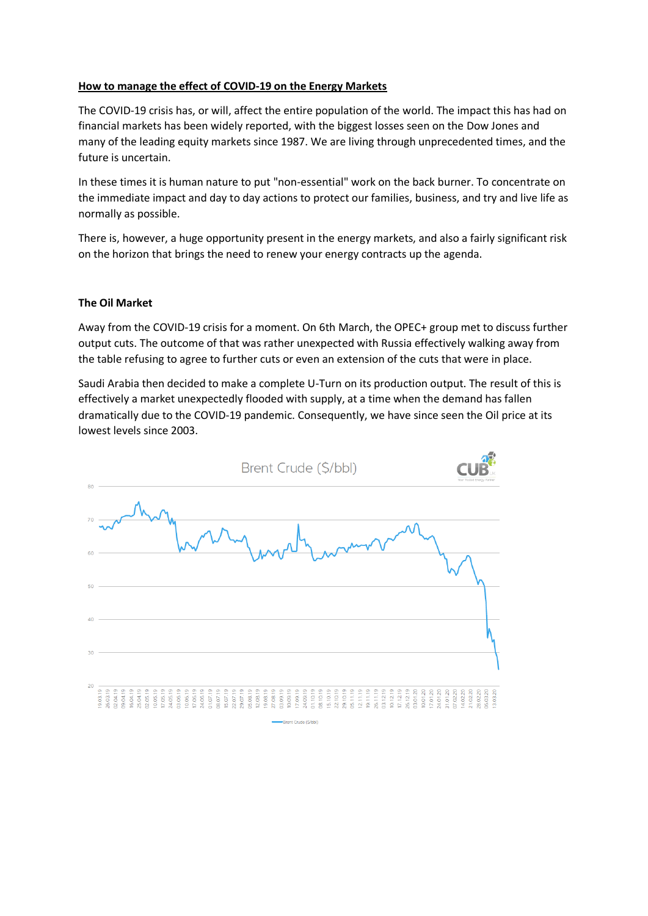# **How to manage the effect of COVID-19 on the Energy Markets**

The COVID-19 crisis has, or will, affect the entire population of the world. The impact this has had on financial markets has been widely reported, with the biggest losses seen on the Dow Jones and many of the leading equity markets since 1987. We are living through unprecedented times, and the future is uncertain.

In these times it is human nature to put "non-essential" work on the back burner. To concentrate on the immediate impact and day to day actions to protect our families, business, and try and live life as normally as possible.

There is, however, a huge opportunity present in the energy markets, and also a fairly significant risk on the horizon that brings the need to renew your energy contracts up the agenda.

### **The Oil Market**

Away from the COVID-19 crisis for a moment. On 6th March, the OPEC+ group met to discuss further output cuts. The outcome of that was rather unexpected with Russia effectively walking away from the table refusing to agree to further cuts or even an extension of the cuts that were in place.

Saudi Arabia then decided to make a complete U-Turn on its production output. The result of this is effectively a market unexpectedly flooded with supply, at a time when the demand has fallen dramatically due to the COVID-19 pandemic. Consequently, we have since seen the Oil price at its lowest levels since 2003.

| 80                   | Brent Crude (\$/bbl)<br>Your Trusted Energy Partner                                                                                                                                                                                                                                                                                                                                                                                                                                                                                                                                                      |                      |  |  |
|----------------------|----------------------------------------------------------------------------------------------------------------------------------------------------------------------------------------------------------------------------------------------------------------------------------------------------------------------------------------------------------------------------------------------------------------------------------------------------------------------------------------------------------------------------------------------------------------------------------------------------------|----------------------|--|--|
| 70                   |                                                                                                                                                                                                                                                                                                                                                                                                                                                                                                                                                                                                          |                      |  |  |
| 60                   |                                                                                                                                                                                                                                                                                                                                                                                                                                                                                                                                                                                                          |                      |  |  |
| 50                   |                                                                                                                                                                                                                                                                                                                                                                                                                                                                                                                                                                                                          |                      |  |  |
| 40                   |                                                                                                                                                                                                                                                                                                                                                                                                                                                                                                                                                                                                          |                      |  |  |
| 30                   |                                                                                                                                                                                                                                                                                                                                                                                                                                                                                                                                                                                                          |                      |  |  |
| 20                   | 19.03.19<br>26.03.19<br>02.04.19<br>09.04.19<br>02.05.19<br>12.08.19<br>10.09.19<br>16.04.19<br>25.04.19<br>10.05.19<br>17.05.19<br>24,05,19<br>03.06.19<br>17.06.19<br>24.06.19<br>01.07.19<br>08.07.19<br>15.07.19<br>22.07.19<br>29.07.19<br>05.08.19<br>19.08.19<br>27.08.19<br>03.09.19<br>17.09.19<br>24,09.19<br>01.10.19<br>08.10.19<br>15.10.19<br>22.10.19<br>29.10.19<br>05.11.19<br>12.11.19<br>19.11.19<br>26.11.19<br>03.12.19<br>10.12.19<br>17.12.19<br>26.12.19<br>24.01.20<br>28.02.20<br>10.06.19<br>03.01.20<br>10.01.20<br>17.01.20<br>31.01.20<br>07.02.20<br>14.02.20<br>21.02.20 | 06.03.20<br>13.03.20 |  |  |
| Brent Crude (\$/bbl) |                                                                                                                                                                                                                                                                                                                                                                                                                                                                                                                                                                                                          |                      |  |  |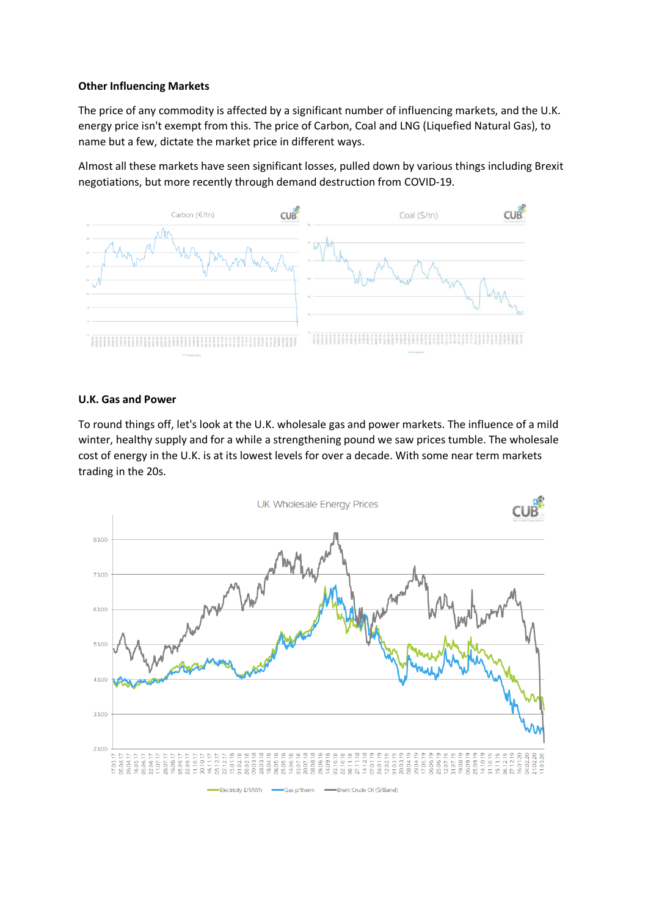## **Other Influencing Markets**

The price of any commodity is affected by a significant number of influencing markets, and the U.K. energy price isn't exempt from this. The price of Carbon, Coal and LNG (Liquefied Natural Gas), to name but a few, dictate the market price in different ways.

Almost all these markets have seen significant losses, pulled down by various things including Brexit negotiations, but more recently through demand destruction from COVID-19.



### **U.K. Gas and Power**

To round things off, let's look at the U.K. wholesale gas and power markets. The influence of a mild winter, healthy supply and for a while a strengthening pound we saw prices tumble. The wholesale cost of energy in the U.K. is at its lowest levels for over a decade. With some near term markets trading in the 20s.